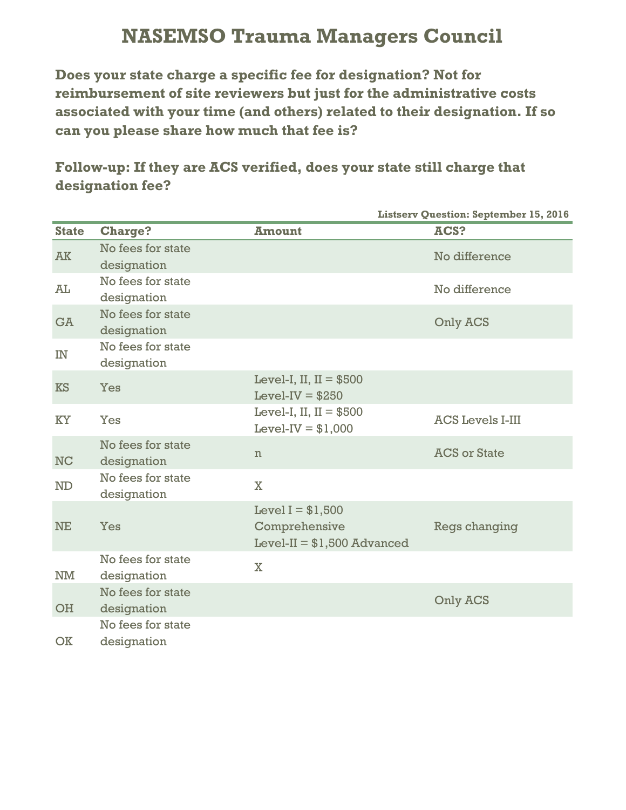## **NASEMSO Trauma Managers Council**

**Does your state charge a specific fee for designation? Not for reimbursement of site reviewers but just for the administrative costs associated with your time (and others) related to their designation. If so can you please share how much that fee is?**

**Follow-up: If they are ACS verified, does your state still charge that designation fee?**

|              |                                  |                                                                     | <b>Listserv Question: September 15, 2016</b> |
|--------------|----------------------------------|---------------------------------------------------------------------|----------------------------------------------|
| <b>State</b> | <b>Charge?</b>                   | <b>Amount</b>                                                       | ACS?                                         |
| <b>AK</b>    | No fees for state<br>designation |                                                                     | No difference                                |
| AL           | No fees for state<br>designation |                                                                     | No difference                                |
| <b>GA</b>    | No fees for state<br>designation |                                                                     | Only ACS                                     |
| IN           | No fees for state<br>designation |                                                                     |                                              |
| <b>KS</b>    | Yes                              | Level-I, II, $II = $500$<br>Level-IV = $$250$                       |                                              |
| <b>KY</b>    | Yes                              | Level-I, II, $II = $500$<br>Level-IV = $$1,000$                     | <b>ACS Levels I-III</b>                      |
| <b>NC</b>    | No fees for state<br>designation | $\mathbf n$                                                         | <b>ACS or State</b>                          |
| <b>ND</b>    | No fees for state<br>designation | $\overline{\mathbf{X}}$                                             |                                              |
| <b>NE</b>    | Yes                              | Level $I = $1,500$<br>Comprehensive<br>Level-II = $$1,500$ Advanced | Regs changing                                |
| NM           | No fees for state<br>designation | $\overline{\mathbf{X}}$                                             |                                              |
| <b>OH</b>    | No fees for state<br>designation |                                                                     | Only ACS                                     |
| <b>OK</b>    | No fees for state<br>designation |                                                                     |                                              |